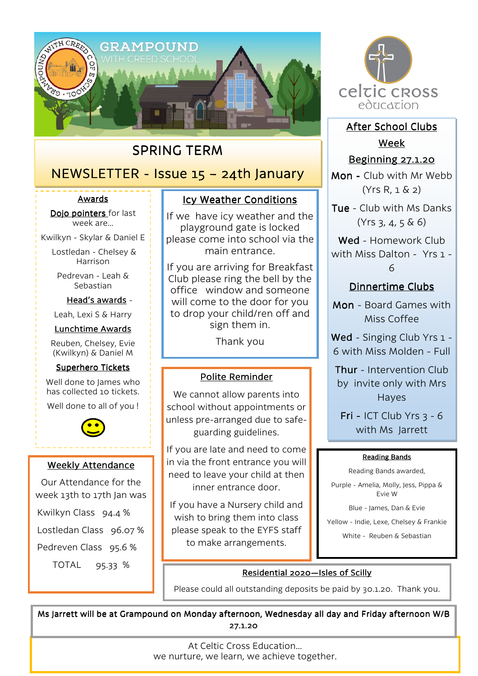

# SPRING TERM

# $NEWSLETTER - Issue 15 - 24th January$

#### Awards

Dojo pointers for last week are…

Kwilkyn - Skylar & Daniel E

 Lostledan - Chelsey & Harrison

Pedrevan - Leah & Sebastian

Head's awards -

Leah, Lexi S & Harry

#### Lunchtime Awards

Reuben, Chelsey, Evie (Kwilkyn) & Daniel M

#### Superhero Tickets

Well done to James who has collected 10 tickets.

Well done to all of you !



### Weekly Attendance

Our Attendance for the week 13th to 17th Jan was

Kwilkyn Class 94.4 %

Lostledan Class 96.07 %

Pedreven Class 95.6 %

TOTAL 95.33 %

# Icy Weather Conditions

If we have icy weather and the playground gate is locked please come into school via the main entrance.

If you are arriving for Breakfast Club please ring the bell by the office window and someone will come to the door for you to drop your child/ren off and sign them in.

Thank you

## Polite Reminder

We cannot allow parents into school without appointments or unless pre-arranged due to safeguarding guidelines.

If you are late and need to come in via the front entrance you will need to leave your child at then inner entrance door.

If you have a Nursery child and wish to bring them into class please speak to the EYFS staff to make arrangements.



After School Clubs Week

# **Beginning 27.1.20**

Mon - Club with Mr Webb (Yrs R, 1 & 2)

Tue - Club with Ms Danks (Yrs 3, 4, 5 & 6)

Wed - Homework Club with Miss Dalton - Yrs 1 - 6

# Dinnertime Clubs

Mon - Board Games with Miss Coffee

Wed - Singing Club Yrs 1 -6 with Miss Molden - Full

Thur - Intervention Club by invite only with Mrs Hayes

Fri - ICT Club Yrs  $3 - 6$ with Ms Jarrett

#### Reading Bands

Reading Bands awarded,

Purple - Amelia, Molly, Jess, Pippa & Evie W

Blue - James, Dan & Evie

Yellow - Indie, Lexe, Chelsey & Frankie

White - Reuben & Sebastian

## Residential 2020—Isles of Scilly

Please could all outstanding deposits be paid by 30.1.20. Thank you.

Ms Jarrett will be at Grampound on Monday afternoon, Wednesday all day and Friday afternoon W/B 27.1.20

> At Celtic Cross Education… we nurture, we learn, we achieve together.